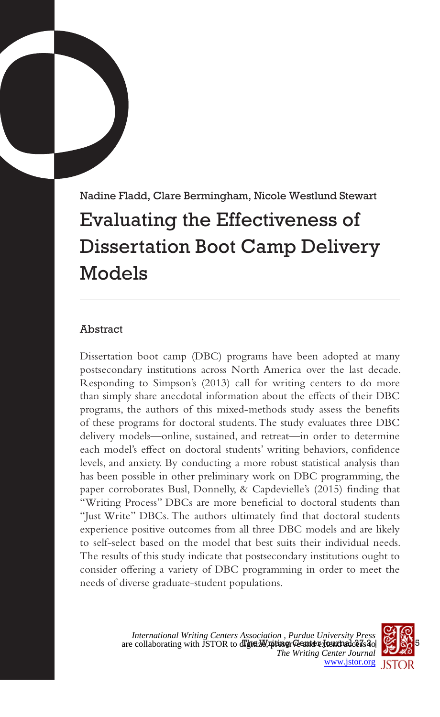# Nadine Fladd, Clare Bermingham, Nicole Westlund Stewart Evaluating the Effectiveness of Dissertation Boot Camp Delivery Models

## Abstract

Dissertation boot camp (DBC) programs have been adopted at many postsecondary institutions across North America over the last decade. Responding to Simpson's (2013) call for writing centers to do more than simply share anecdotal information about the effects of their DBC programs, the authors of this mixed-methods study assess the benefits of these programs for doctoral students. The study evaluates three DBC delivery models—online, sustained, and retreat—in order to determine each model's effect on doctoral students' writing behaviors, confidence levels, and anxiety. By conducting a more robust statistical analysis than has been possible in other preliminary work on DBC programming, the paper corroborates Busl, Donnelly, & Capdevielle's (2015) finding that "Writing Process" DBCs are more beneficial to doctoral students than "Just Write" DBCs. The authors ultimately find that doctoral students experience positive outcomes from all three DBC models and are likely to self-select based on the model that best suits their individual needs. The results of this study indicate that postsecondary institutions ought to consider offering a variety of DBC programming in order to meet the needs of diverse graduate-student populations.

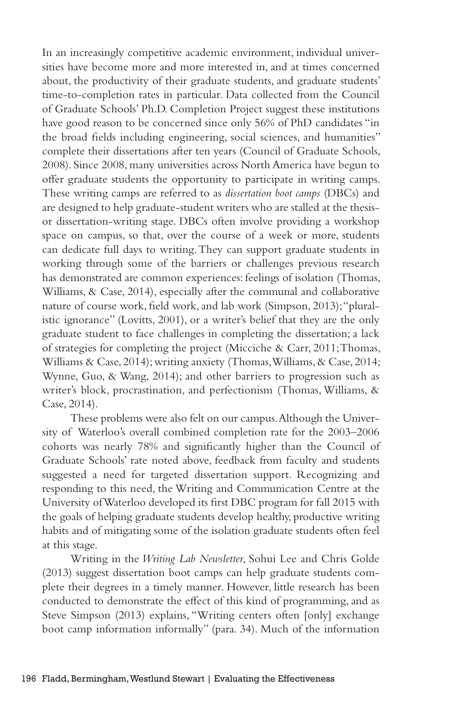In an increasingly competitive academic environment, individual universities have become more and more interested in, and at times concerned about, the productivity of their graduate students, and graduate students' time-to-completion rates in particular. Data collected from the Council of Graduate Schools' Ph.D. Completion Project suggest these institutions have good reason to be concerned since only 56% of PhD candidates "in the broad fields including engineering, social sciences, and humanities" complete their dissertations after ten years (Council of Graduate Schools, 2008). Since 2008, many universities across North America have begun to offer graduate students the opportunity to participate in writing camps. These writing camps are referred to as *dissertation boot camps* (DBCs) and are designed to help graduate-student writers who are stalled at the thesisor dissertation-writing stage. DBCs often involve providing a workshop space on campus, so that, over the course of a week or more, students can dedicate full days to writing. They can support graduate students in working through some of the barriers or challenges previous research has demonstrated are common experiences: feelings of isolation (Thomas, Williams, & Case, 2014), especially after the communal and collaborative nature of course work, field work, and lab work (Simpson, 2013); "pluralistic ignorance" (Lovitts, 2001), or a writer's belief that they are the only graduate student to face challenges in completing the dissertation; a lack of strategies for completing the project (Micciche & Carr, 2011; Thomas, Williams & Case, 2014); writing anxiety (Thomas, Williams, & Case, 2014; Wynne, Guo, & Wang, 2014); and other barriers to progression such as writer's block, procrastination, and perfectionism (Thomas, Williams, & Case, 2014).

These problems were also felt on our campus. Although the University of Waterloo's overall combined completion rate for the 2003–2006 cohorts was nearly 78% and significantly higher than the Council of Graduate Schools' rate noted above, feedback from faculty and students suggested a need for targeted dissertation support. Recognizing and responding to this need, the Writing and Communication Centre at the University of Waterloo developed its first DBC program for fall 2015 with the goals of helping graduate students develop healthy, productive writing habits and of mitigating some of the isolation graduate students often feel at this stage.

Writing in the *Writing Lab Newsletter*, Sohui Lee and Chris Golde (2013) suggest dissertation boot camps can help graduate students complete their degrees in a timely manner. However, little research has been conducted to demonstrate the effect of this kind of programming, and as Steve Simpson (2013) explains, "Writing centers often [only] exchange boot camp information informally" (para. 34). Much of the information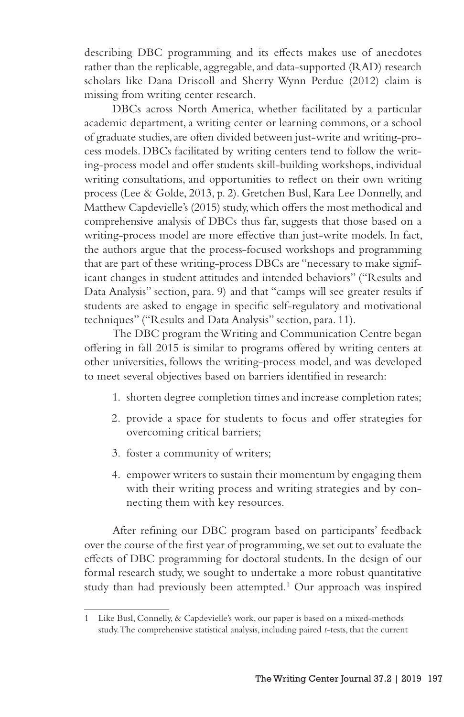describing DBC programming and its effects makes use of anecdotes rather than the replicable, aggregable, and data-supported (RAD) research scholars like Dana Driscoll and Sherry Wynn Perdue (2012) claim is missing from writing center research.

DBCs across North America, whether facilitated by a particular academic department, a writing center or learning commons, or a school of graduate studies, are often divided between just-write and writing-process models. DBCs facilitated by writing centers tend to follow the writing-process model and offer students skill-building workshops, individual writing consultations, and opportunities to reflect on their own writing process (Lee & Golde, 2013, p. 2). Gretchen Busl, Kara Lee Donnelly, and Matthew Capdevielle's (2015) study, which offers the most methodical and comprehensive analysis of DBCs thus far, suggests that those based on a writing-process model are more effective than just-write models. In fact, the authors argue that the process-focused workshops and programming that are part of these writing-process DBCs are "necessary to make significant changes in student attitudes and intended behaviors" ("Results and Data Analysis" section, para. 9) and that "camps will see greater results if students are asked to engage in specific self-regulatory and motivational techniques" ("Results and Data Analysis" section, para. 11).

The DBC program the Writing and Communication Centre began offering in fall 2015 is similar to programs offered by writing centers at other universities, follows the writing-process model, and was developed to meet several objectives based on barriers identified in research:

- 1. shorten degree completion times and increase completion rates;
- 2. provide a space for students to focus and offer strategies for overcoming critical barriers;
- 3. foster a community of writers;
- 4. empower writers to sustain their momentum by engaging them with their writing process and writing strategies and by connecting them with key resources.

After refining our DBC program based on participants' feedback over the course of the first year of programming, we set out to evaluate the effects of DBC programming for doctoral students. In the design of our formal research study, we sought to undertake a more robust quantitative study than had previously been attempted.<sup>1</sup> Our approach was inspired

<sup>1</sup> Like Busl, Connelly, & Capdevielle's work, our paper is based on a mixed-methods study. The comprehensive statistical analysis, including paired *t*-tests, that the current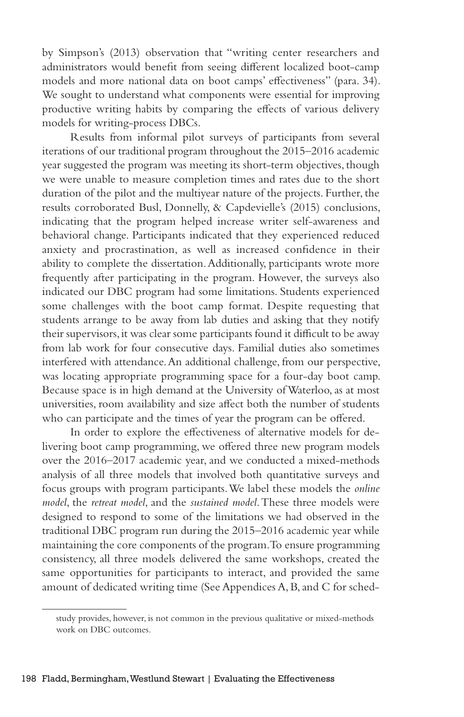by Simpson's (2013) observation that "writing center researchers and administrators would benefit from seeing different localized boot-camp models and more national data on boot camps' effectiveness" (para. 34). We sought to understand what components were essential for improving productive writing habits by comparing the effects of various delivery models for writing-process DBCs.

Results from informal pilot surveys of participants from several iterations of our traditional program throughout the 2015–2016 academic year suggested the program was meeting its short-term objectives, though we were unable to measure completion times and rates due to the short duration of the pilot and the multiyear nature of the projects. Further, the results corroborated Busl, Donnelly, & Capdevielle's (2015) conclusions, indicating that the program helped increase writer self-awareness and behavioral change. Participants indicated that they experienced reduced anxiety and procrastination, as well as increased confidence in their ability to complete the dissertation. Additionally, participants wrote more frequently after participating in the program. However, the surveys also indicated our DBC program had some limitations. Students experienced some challenges with the boot camp format. Despite requesting that students arrange to be away from lab duties and asking that they notify their supervisors, it was clear some participants found it difficult to be away from lab work for four consecutive days. Familial duties also sometimes interfered with attendance. An additional challenge, from our perspective, was locating appropriate programming space for a four-day boot camp. Because space is in high demand at the University of Waterloo, as at most universities, room availability and size affect both the number of students who can participate and the times of year the program can be offered.

In order to explore the effectiveness of alternative models for delivering boot camp programming, we offered three new program models over the 2016–2017 academic year, and we conducted a mixed-methods analysis of all three models that involved both quantitative surveys and focus groups with program participants. We label these models the *online model*, the *retreat model*, and the *sustained model*. These three models were designed to respond to some of the limitations we had observed in the traditional DBC program run during the 2015–2016 academic year while maintaining the core components of the program. To ensure programming consistency, all three models delivered the same workshops, created the same opportunities for participants to interact, and provided the same amount of dedicated writing time (See Appendices A, B, and C for sched-

study provides, however, is not common in the previous qualitative or mixed-methods work on DBC outcomes.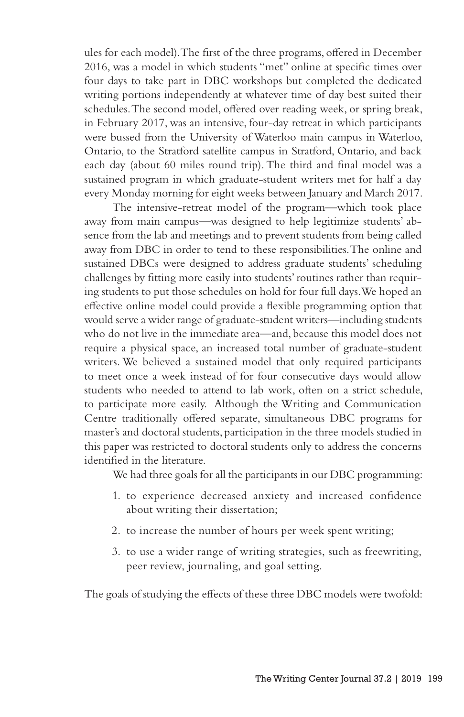ules for each model). The first of the three programs, offered in December 2016, was a model in which students "met" online at specific times over four days to take part in DBC workshops but completed the dedicated writing portions independently at whatever time of day best suited their schedules. The second model, offered over reading week, or spring break, in February 2017, was an intensive, four-day retreat in which participants were bussed from the University of Waterloo main campus in Waterloo, Ontario, to the Stratford satellite campus in Stratford, Ontario, and back each day (about 60 miles round trip). The third and final model was a sustained program in which graduate-student writers met for half a day every Monday morning for eight weeks between January and March 2017.

The intensive-retreat model of the program—which took place away from main campus—was designed to help legitimize students' absence from the lab and meetings and to prevent students from being called away from DBC in order to tend to these responsibilities. The online and sustained DBCs were designed to address graduate students' scheduling challenges by fitting more easily into students' routines rather than requiring students to put those schedules on hold for four full days. We hoped an effective online model could provide a flexible programming option that would serve a wider range of graduate-student writers—including students who do not live in the immediate area—and, because this model does not require a physical space, an increased total number of graduate-student writers. We believed a sustained model that only required participants to meet once a week instead of for four consecutive days would allow students who needed to attend to lab work, often on a strict schedule, to participate more easily. Although the Writing and Communication Centre traditionally offered separate, simultaneous DBC programs for master's and doctoral students, participation in the three models studied in this paper was restricted to doctoral students only to address the concerns identified in the literature.

We had three goals for all the participants in our DBC programming:

- 1. to experience decreased anxiety and increased confidence about writing their dissertation;
- 2. to increase the number of hours per week spent writing;
- 3. to use a wider range of writing strategies, such as freewriting, peer review, journaling, and goal setting.

The goals of studying the effects of these three DBC models were twofold: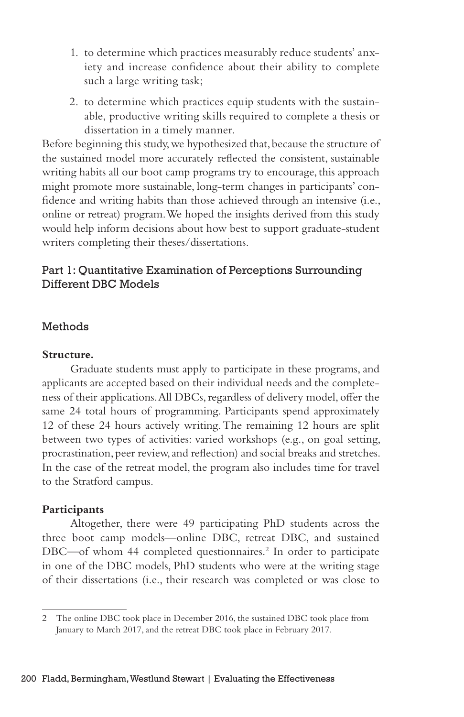- 1. to determine which practices measurably reduce students' anxiety and increase confidence about their ability to complete such a large writing task;
- 2. to determine which practices equip students with the sustainable, productive writing skills required to complete a thesis or dissertation in a timely manner.

Before beginning this study, we hypothesized that, because the structure of the sustained model more accurately reflected the consistent, sustainable writing habits all our boot camp programs try to encourage, this approach might promote more sustainable, long-term changes in participants' confidence and writing habits than those achieved through an intensive (i.e., online or retreat) program. We hoped the insights derived from this study would help inform decisions about how best to support graduate-student writers completing their theses/dissertations.

## Part 1: Quantitative Examination of Perceptions Surrounding Different DBC Models

## Methods

## **Structure.**

Graduate students must apply to participate in these programs, and applicants are accepted based on their individual needs and the completeness of their applications. All DBCs, regardless of delivery model, offer the same 24 total hours of programming. Participants spend approximately 12 of these 24 hours actively writing. The remaining 12 hours are split between two types of activities: varied workshops (e.g., on goal setting, procrastination, peer review, and reflection) and social breaks and stretches. In the case of the retreat model, the program also includes time for travel to the Stratford campus.

#### **Participants**

Altogether, there were 49 participating PhD students across the three boot camp models—online DBC, retreat DBC, and sustained DBC-of whom 44 completed questionnaires.<sup>2</sup> In order to participate in one of the DBC models, PhD students who were at the writing stage of their dissertations (i.e., their research was completed or was close to

<sup>2</sup> The online DBC took place in December 2016, the sustained DBC took place from January to March 2017, and the retreat DBC took place in February 2017.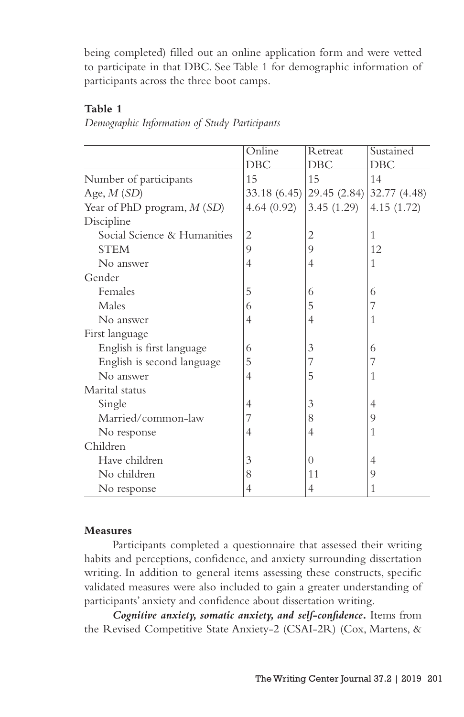being completed) filled out an online application form and were vetted to participate in that DBC. See Table 1 for demographic information of participants across the three boot camps.

## **Table 1**

| Demographic Information of Study Participants |  |  |  |
|-----------------------------------------------|--|--|--|
|                                               |  |  |  |

|                              | Online         | Retreat                     | Sustained    |
|------------------------------|----------------|-----------------------------|--------------|
|                              | DBC            | DBC                         | DBC          |
| Number of participants       | 15             | 15                          | 14           |
| Age, $M(SD)$                 |                | $33.18(6.45)$ (29.45 (2.84) | 32.77 (4.48) |
| Year of PhD program, $M(SD)$ | 4.64(0.92)     | 3.45(1.29)                  | 4.15(1.72)   |
| Discipline                   |                |                             |              |
| Social Science & Humanities  | $\overline{2}$ | 2                           | 1            |
| <b>STEM</b>                  | 9              | 9                           | 12           |
| No answer                    | 4              | 4                           | 1            |
| Gender                       |                |                             |              |
| Females                      | 5              | 6                           | 6            |
| Males                        | 6              | 5                           | 7            |
| No answer                    | 4              | 4                           | 1            |
| First language               |                |                             |              |
| English is first language    | 6              | 3                           | 6            |
| English is second language   | 5              | 7                           | 7            |
| No answer                    | 4              | 5                           | 1            |
| Marital status               |                |                             |              |
| Single                       | 4              | 3                           | 4            |
| Married/common-law           | 7              | 8                           | 9            |
| No response                  | 4              | 4                           | 1            |
| Children                     |                |                             |              |
| Have children                | 3              | $\theta$                    | 4            |
| No children                  | 8              | 11                          | 9            |
| No response                  | 4              | 4                           | 1            |

#### **Measures**

Participants completed a questionnaire that assessed their writing habits and perceptions, confidence, and anxiety surrounding dissertation writing. In addition to general items assessing these constructs, specific validated measures were also included to gain a greater understanding of participants' anxiety and confidence about dissertation writing.

*Cognitive anxiety, somatic anxiety, and self-confidence***.** Items from the Revised Competitive State Anxiety-2 (CSAI-2R) (Cox, Martens, &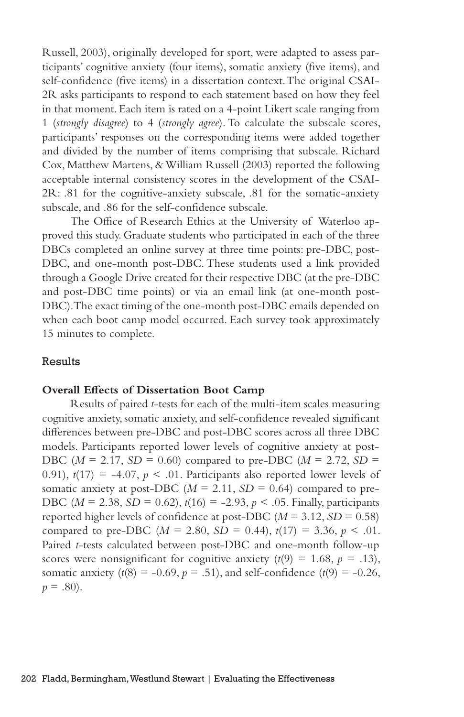Russell, 2003), originally developed for sport, were adapted to assess participants' cognitive anxiety (four items), somatic anxiety (five items), and self-confidence (five items) in a dissertation context. The original CSAI-2R asks participants to respond to each statement based on how they feel in that moment. Each item is rated on a 4-point Likert scale ranging from 1 (*strongly disagree*) to 4 (*strongly agree*). To calculate the subscale scores, participants' responses on the corresponding items were added together and divided by the number of items comprising that subscale. Richard Cox, Matthew Martens, & William Russell (2003) reported the following acceptable internal consistency scores in the development of the CSAI-2R: .81 for the cognitive-anxiety subscale, .81 for the somatic-anxiety subscale, and .86 for the self-confidence subscale.

The Office of Research Ethics at the University of Waterloo approved this study. Graduate students who participated in each of the three DBCs completed an online survey at three time points: pre-DBC, post-DBC, and one-month post-DBC. These students used a link provided through a Google Drive created for their respective DBC (at the pre-DBC and post-DBC time points) or via an email link (at one-month post-DBC). The exact timing of the one-month post-DBC emails depended on when each boot camp model occurred. Each survey took approximately 15 minutes to complete.

### Results

#### **Overall Effects of Dissertation Boot Camp**

Results of paired *t*-tests for each of the multi-item scales measuring cognitive anxiety, somatic anxiety, and self-confidence revealed significant differences between pre-DBC and post-DBC scores across all three DBC models. Participants reported lower levels of cognitive anxiety at post-DBC ( $M = 2.17$ ,  $SD = 0.60$ ) compared to pre-DBC ( $M = 2.72$ ,  $SD =$ 0.91),  $t(17) = -4.07$ ,  $p < .01$ . Participants also reported lower levels of somatic anxiety at post-DBC ( $M = 2.11$ ,  $SD = 0.64$ ) compared to pre-DBC ( $M = 2.38$ ,  $SD = 0.62$ ),  $t(16) = -2.93$ ,  $p < .05$ . Finally, participants reported higher levels of confidence at post-DBC  $(M = 3.12, SD = 0.58)$ compared to pre-DBC ( $M = 2.80$ ,  $SD = 0.44$ ),  $t(17) = 3.36$ ,  $p < .01$ . Paired *t*-tests calculated between post-DBC and one-month follow-up scores were nonsignificant for cognitive anxiety  $(t(9) = 1.68, p = .13)$ , somatic anxiety  $(t(8) = -0.69, p = .51)$ , and self-confidence  $(t(9) = -0.26,$  $p = .80$ ).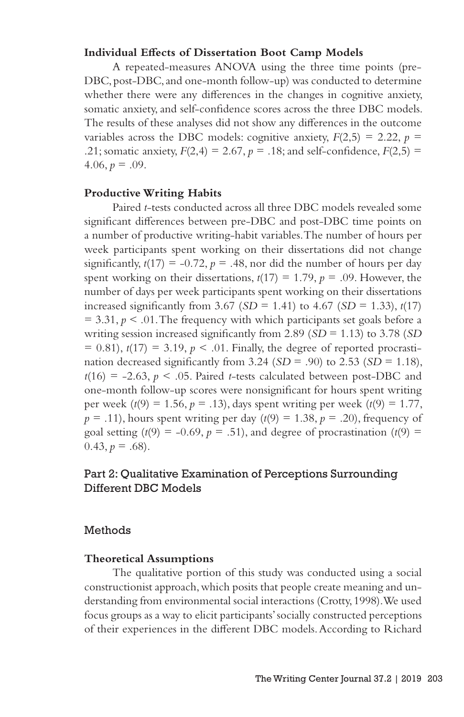#### **Individual Effects of Dissertation Boot Camp Models**

A repeated-measures ANOVA using the three time points (pre-DBC, post-DBC, and one-month follow-up) was conducted to determine whether there were any differences in the changes in cognitive anxiety, somatic anxiety, and self-confidence scores across the three DBC models. The results of these analyses did not show any differences in the outcome variables across the DBC models: cognitive anxiety,  $F(2,5) = 2.22$ ,  $p =$ .21; somatic anxiety,  $F(2,4) = 2.67$ ,  $p = .18$ ; and self-confidence,  $F(2,5) =$  $4.06, p = .09$ .

## **Productive Writing Habits**

Paired *t*-tests conducted across all three DBC models revealed some significant differences between pre-DBC and post-DBC time points on a number of productive writing-habit variables. The number of hours per week participants spent working on their dissertations did not change significantly,  $t(17) = -0.72$ ,  $p = .48$ , nor did the number of hours per day spent working on their dissertations,  $t(17) = 1.79$ ,  $p = .09$ . However, the number of days per week participants spent working on their dissertations increased significantly from 3.67 (*SD* = 1.41) to 4.67 (*SD* = 1.33),  $t(17)$  $= 3.31, p \leq 0.01$ . The frequency with which participants set goals before a writing session increased significantly from 2.89 (*SD* = 1.13) to 3.78 (*SD*  $= 0.81$ ,  $t(17) = 3.19$ ,  $p < .01$ . Finally, the degree of reported procrastination decreased significantly from 3.24 ( $SD = .90$ ) to 2.53 ( $SD = 1.18$ ),  $t(16) = -2.63$ ,  $p < .05$ . Paired *t*-tests calculated between post-DBC and one-month follow-up scores were nonsignificant for hours spent writing per week  $(t(9) = 1.56, p = .13)$ , days spent writing per week  $(t(9) = 1.77$ ,  $p = .11$ ), hours spent writing per day  $(t(9) = 1.38, p = .20)$ , frequency of goal setting  $(t(9) = -0.69, p = .51)$ , and degree of procrastination  $(t(9) =$  $(0.43, p = .68)$ .

## Part 2: Qualitative Examination of Perceptions Surrounding Different DBC Models

#### Methods

#### **Theoretical Assumptions**

The qualitative portion of this study was conducted using a social constructionist approach, which posits that people create meaning and understanding from environmental social interactions (Crotty, 1998). We used focus groups as a way to elicit participants' socially constructed perceptions of their experiences in the different DBC models. According to Richard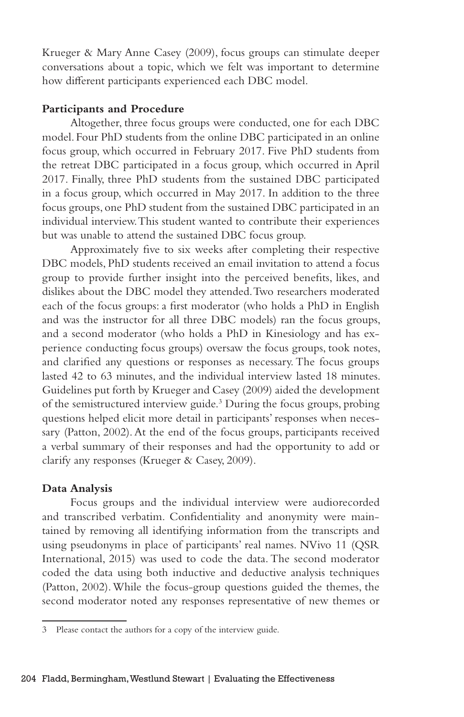Krueger & Mary Anne Casey (2009), focus groups can stimulate deeper conversations about a topic, which we felt was important to determine how different participants experienced each DBC model.

#### **Participants and Procedure**

Altogether, three focus groups were conducted, one for each DBC model. Four PhD students from the online DBC participated in an online focus group, which occurred in February 2017. Five PhD students from the retreat DBC participated in a focus group, which occurred in April 2017. Finally, three PhD students from the sustained DBC participated in a focus group, which occurred in May 2017. In addition to the three focus groups, one PhD student from the sustained DBC participated in an individual interview. This student wanted to contribute their experiences but was unable to attend the sustained DBC focus group.

Approximately five to six weeks after completing their respective DBC models, PhD students received an email invitation to attend a focus group to provide further insight into the perceived benefits, likes, and dislikes about the DBC model they attended. Two researchers moderated each of the focus groups: a first moderator (who holds a PhD in English and was the instructor for all three DBC models) ran the focus groups, and a second moderator (who holds a PhD in Kinesiology and has experience conducting focus groups) oversaw the focus groups, took notes, and clarified any questions or responses as necessary. The focus groups lasted 42 to 63 minutes, and the individual interview lasted 18 minutes. Guidelines put forth by Krueger and Casey (2009) aided the development of the semistructured interview guide.<sup>3</sup> During the focus groups, probing questions helped elicit more detail in participants' responses when necessary (Patton, 2002). At the end of the focus groups, participants received a verbal summary of their responses and had the opportunity to add or clarify any responses (Krueger & Casey, 2009).

## **Data Analysis**

Focus groups and the individual interview were audiorecorded and transcribed verbatim. Confidentiality and anonymity were maintained by removing all identifying information from the transcripts and using pseudonyms in place of participants' real names. NVivo 11 (QSR International, 2015) was used to code the data. The second moderator coded the data using both inductive and deductive analysis techniques (Patton, 2002). While the focus-group questions guided the themes, the second moderator noted any responses representative of new themes or

<sup>3</sup> Please contact the authors for a copy of the interview guide.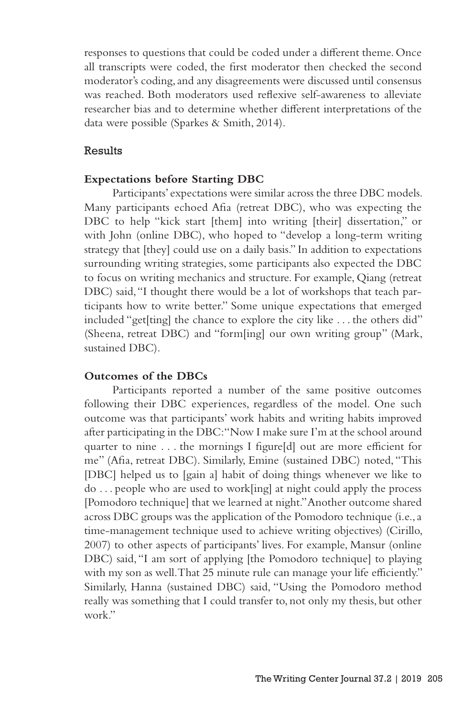responses to questions that could be coded under a different theme. Once all transcripts were coded, the first moderator then checked the second moderator's coding, and any disagreements were discussed until consensus was reached. Both moderators used reflexive self-awareness to alleviate researcher bias and to determine whether different interpretations of the data were possible (Sparkes & Smith, 2014).

## Results

#### **Expectations before Starting DBC**

Participants' expectations were similar across the three DBC models. Many participants echoed Afia (retreat DBC), who was expecting the DBC to help "kick start [them] into writing [their] dissertation," or with John (online DBC), who hoped to "develop a long-term writing strategy that [they] could use on a daily basis." In addition to expectations surrounding writing strategies, some participants also expected the DBC to focus on writing mechanics and structure. For example, Qiang (retreat DBC) said, "I thought there would be a lot of workshops that teach participants how to write better." Some unique expectations that emerged included "get[ting] the chance to explore the city like . . . the others did" (Sheena, retreat DBC) and "form[ing] our own writing group" (Mark, sustained DBC).

#### **Outcomes of the DBCs**

Participants reported a number of the same positive outcomes following their DBC experiences, regardless of the model. One such outcome was that participants' work habits and writing habits improved after participating in the DBC: "Now I make sure I'm at the school around quarter to nine . . . the mornings I figure[d] out are more efficient for me" (Afia, retreat DBC). Similarly, Emine (sustained DBC) noted, "This [DBC] helped us to [gain a] habit of doing things whenever we like to do . . . people who are used to work[ing] at night could apply the process [Pomodoro technique] that we learned at night." Another outcome shared across DBC groups was the application of the Pomodoro technique (i.e., a time-management technique used to achieve writing objectives) (Cirillo, 2007) to other aspects of participants' lives. For example, Mansur (online DBC) said, "I am sort of applying [the Pomodoro technique] to playing with my son as well. That 25 minute rule can manage your life efficiently." Similarly, Hanna (sustained DBC) said, "Using the Pomodoro method really was something that I could transfer to, not only my thesis, but other work."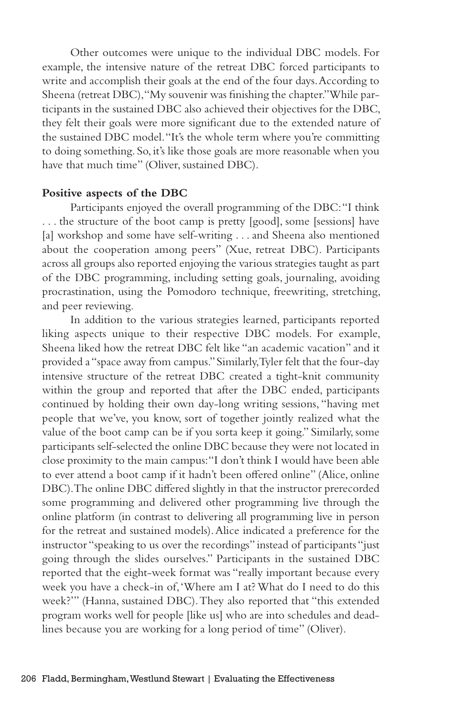Other outcomes were unique to the individual DBC models. For example, the intensive nature of the retreat DBC forced participants to write and accomplish their goals at the end of the four days. According to Sheena (retreat DBC), "My souvenir was finishing the chapter." While participants in the sustained DBC also achieved their objectives for the DBC, they felt their goals were more significant due to the extended nature of the sustained DBC model. "It's the whole term where you're committing to doing something. So, it's like those goals are more reasonable when you have that much time" (Oliver, sustained DBC).

## **Positive aspects of the DBC**

Participants enjoyed the overall programming of the DBC: "I think . . . the structure of the boot camp is pretty [good], some [sessions] have [a] workshop and some have self-writing . . . and Sheena also mentioned about the cooperation among peers" (Xue, retreat DBC). Participants across all groups also reported enjoying the various strategies taught as part of the DBC programming, including setting goals, journaling, avoiding procrastination, using the Pomodoro technique, freewriting, stretching, and peer reviewing.

In addition to the various strategies learned, participants reported liking aspects unique to their respective DBC models. For example, Sheena liked how the retreat DBC felt like "an academic vacation" and it provided a "space away from campus." Similarly, Tyler felt that the four-day intensive structure of the retreat DBC created a tight-knit community within the group and reported that after the DBC ended, participants continued by holding their own day-long writing sessions, "having met people that we've, you know, sort of together jointly realized what the value of the boot camp can be if you sorta keep it going." Similarly, some participants self-selected the online DBC because they were not located in close proximity to the main campus: "I don't think I would have been able to ever attend a boot camp if it hadn't been offered online" (Alice, online DBC). The online DBC differed slightly in that the instructor prerecorded some programming and delivered other programming live through the online platform (in contrast to delivering all programming live in person for the retreat and sustained models). Alice indicated a preference for the instructor "speaking to us over the recordings" instead of participants "just going through the slides ourselves." Participants in the sustained DBC reported that the eight-week format was "really important because every week you have a check-in of, 'Where am I at? What do I need to do this week?'" (Hanna, sustained DBC). They also reported that "this extended program works well for people [like us] who are into schedules and deadlines because you are working for a long period of time" (Oliver).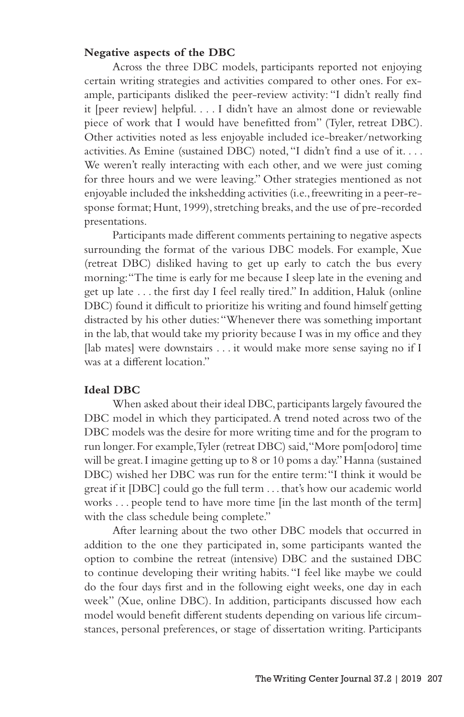#### **Negative aspects of the DBC**

Across the three DBC models, participants reported not enjoying certain writing strategies and activities compared to other ones. For example, participants disliked the peer-review activity: "I didn't really find it [peer review] helpful. . . . I didn't have an almost done or reviewable piece of work that I would have benefitted from" (Tyler, retreat DBC). Other activities noted as less enjoyable included ice-breaker/networking activities. As Emine (sustained DBC) noted, "I didn't find a use of it. . . . We weren't really interacting with each other, and we were just coming for three hours and we were leaving." Other strategies mentioned as not enjoyable included the inkshedding activities (i.e., freewriting in a peer-response format; Hunt, 1999), stretching breaks, and the use of pre-recorded presentations.

Participants made different comments pertaining to negative aspects surrounding the format of the various DBC models. For example, Xue (retreat DBC) disliked having to get up early to catch the bus every morning: "The time is early for me because I sleep late in the evening and get up late . . . the first day I feel really tired." In addition, Haluk (online DBC) found it difficult to prioritize his writing and found himself getting distracted by his other duties: "Whenever there was something important in the lab, that would take my priority because I was in my office and they [lab mates] were downstairs . . . it would make more sense saying no if I was at a different location."

#### **Ideal DBC**

When asked about their ideal DBC, participants largely favoured the DBC model in which they participated. A trend noted across two of the DBC models was the desire for more writing time and for the program to run longer. For example, Tyler (retreat DBC) said, "More pom[odoro] time will be great. I imagine getting up to 8 or 10 poms a day." Hanna (sustained DBC) wished her DBC was run for the entire term: "I think it would be great if it [DBC] could go the full term . . . that's how our academic world works . . . people tend to have more time [in the last month of the term] with the class schedule being complete."

After learning about the two other DBC models that occurred in addition to the one they participated in, some participants wanted the option to combine the retreat (intensive) DBC and the sustained DBC to continue developing their writing habits. "I feel like maybe we could do the four days first and in the following eight weeks, one day in each week" (Xue, online DBC). In addition, participants discussed how each model would benefit different students depending on various life circumstances, personal preferences, or stage of dissertation writing. Participants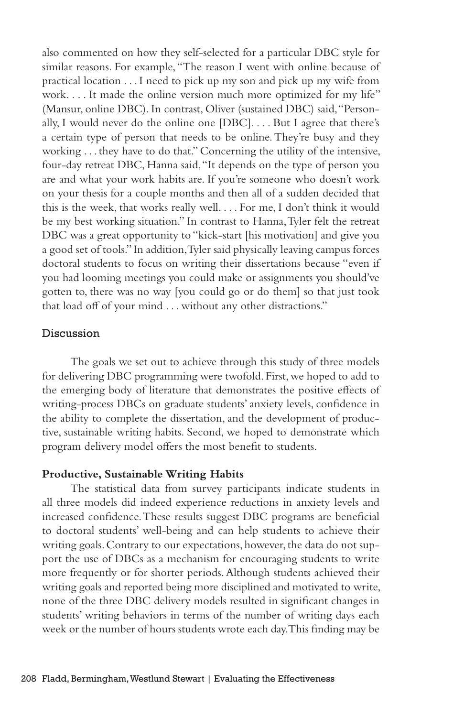also commented on how they self-selected for a particular DBC style for similar reasons. For example, "The reason I went with online because of practical location . . . I need to pick up my son and pick up my wife from work. . . . It made the online version much more optimized for my life" (Mansur, online DBC). In contrast, Oliver (sustained DBC) said, "Personally, I would never do the online one [DBC]. . . . But I agree that there's a certain type of person that needs to be online. They're busy and they working . . . they have to do that." Concerning the utility of the intensive, four-day retreat DBC, Hanna said, "It depends on the type of person you are and what your work habits are. If you're someone who doesn't work on your thesis for a couple months and then all of a sudden decided that this is the week, that works really well. . . . For me, I don't think it would be my best working situation." In contrast to Hanna, Tyler felt the retreat DBC was a great opportunity to "kick-start [his motivation] and give you a good set of tools." In addition, Tyler said physically leaving campus forces doctoral students to focus on writing their dissertations because "even if you had looming meetings you could make or assignments you should've gotten to, there was no way [you could go or do them] so that just took that load off of your mind . . . without any other distractions."

## Discussion

The goals we set out to achieve through this study of three models for delivering DBC programming were twofold. First, we hoped to add to the emerging body of literature that demonstrates the positive effects of writing-process DBCs on graduate students' anxiety levels, confidence in the ability to complete the dissertation, and the development of productive, sustainable writing habits. Second, we hoped to demonstrate which program delivery model offers the most benefit to students.

#### **Productive, Sustainable Writing Habits**

The statistical data from survey participants indicate students in all three models did indeed experience reductions in anxiety levels and increased confidence. These results suggest DBC programs are beneficial to doctoral students' well-being and can help students to achieve their writing goals. Contrary to our expectations, however, the data do not support the use of DBCs as a mechanism for encouraging students to write more frequently or for shorter periods. Although students achieved their writing goals and reported being more disciplined and motivated to write, none of the three DBC delivery models resulted in significant changes in students' writing behaviors in terms of the number of writing days each week or the number of hours students wrote each day. This finding may be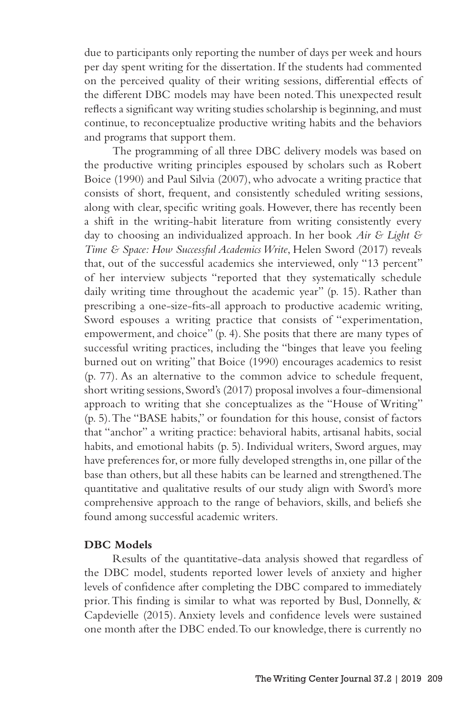due to participants only reporting the number of days per week and hours per day spent writing for the dissertation. If the students had commented on the perceived quality of their writing sessions, differential effects of the different DBC models may have been noted. This unexpected result reflects a significant way writing studies scholarship is beginning, and must continue, to reconceptualize productive writing habits and the behaviors and programs that support them.

The programming of all three DBC delivery models was based on the productive writing principles espoused by scholars such as Robert Boice (1990) and Paul Silvia (2007), who advocate a writing practice that consists of short, frequent, and consistently scheduled writing sessions, along with clear, specific writing goals. However, there has recently been a shift in the writing-habit literature from writing consistently every day to choosing an individualized approach. In her book *Air & Light & Time & Space: How Successful Academics Write*, Helen Sword (2017) reveals that, out of the successful academics she interviewed, only "13 percent" of her interview subjects "reported that they systematically schedule daily writing time throughout the academic year" (p. 15). Rather than prescribing a one-size-fits-all approach to productive academic writing, Sword espouses a writing practice that consists of "experimentation, empowerment, and choice" (p. 4). She posits that there are many types of successful writing practices, including the "binges that leave you feeling burned out on writing" that Boice (1990) encourages academics to resist (p. 77). As an alternative to the common advice to schedule frequent, short writing sessions, Sword's (2017) proposal involves a four-dimensional approach to writing that she conceptualizes as the "House of Writing" (p. 5). The "BASE habits," or foundation for this house, consist of factors that "anchor" a writing practice: behavioral habits, artisanal habits, social habits, and emotional habits (p. 5). Individual writers, Sword argues, may have preferences for, or more fully developed strengths in, one pillar of the base than others, but all these habits can be learned and strengthened. The quantitative and qualitative results of our study align with Sword's more comprehensive approach to the range of behaviors, skills, and beliefs she found among successful academic writers.

## **DBC Models**

Results of the quantitative-data analysis showed that regardless of the DBC model, students reported lower levels of anxiety and higher levels of confidence after completing the DBC compared to immediately prior. This finding is similar to what was reported by Busl, Donnelly, & Capdevielle (2015). Anxiety levels and confidence levels were sustained one month after the DBC ended. To our knowledge, there is currently no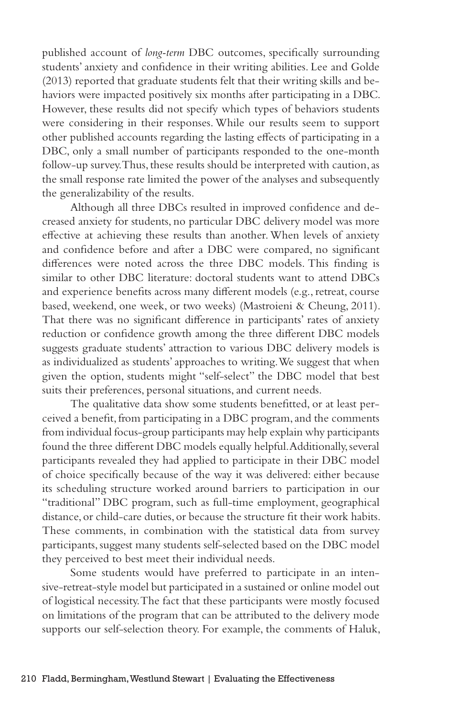published account of *long-term* DBC outcomes, specifically surrounding students' anxiety and confidence in their writing abilities. Lee and Golde (2013) reported that graduate students felt that their writing skills and behaviors were impacted positively six months after participating in a DBC. However, these results did not specify which types of behaviors students were considering in their responses. While our results seem to support other published accounts regarding the lasting effects of participating in a DBC, only a small number of participants responded to the one-month follow-up survey. Thus, these results should be interpreted with caution, as the small response rate limited the power of the analyses and subsequently the generalizability of the results.

Although all three DBCs resulted in improved confidence and decreased anxiety for students, no particular DBC delivery model was more effective at achieving these results than another. When levels of anxiety and confidence before and after a DBC were compared, no significant differences were noted across the three DBC models. This finding is similar to other DBC literature: doctoral students want to attend DBCs and experience benefits across many different models (e.g., retreat, course based, weekend, one week, or two weeks) (Mastroieni & Cheung, 2011). That there was no significant difference in participants' rates of anxiety reduction or confidence growth among the three different DBC models suggests graduate students' attraction to various DBC delivery models is as individualized as students' approaches to writing. We suggest that when given the option, students might "self-select" the DBC model that best suits their preferences, personal situations, and current needs.

The qualitative data show some students benefitted, or at least perceived a benefit, from participating in a DBC program, and the comments from individual focus-group participants may help explain why participants found the three different DBC models equally helpful. Additionally, several participants revealed they had applied to participate in their DBC model of choice specifically because of the way it was delivered: either because its scheduling structure worked around barriers to participation in our "traditional" DBC program, such as full-time employment, geographical distance, or child-care duties, or because the structure fit their work habits. These comments, in combination with the statistical data from survey participants, suggest many students self-selected based on the DBC model they perceived to best meet their individual needs.

Some students would have preferred to participate in an intensive-retreat-style model but participated in a sustained or online model out of logistical necessity. The fact that these participants were mostly focused on limitations of the program that can be attributed to the delivery mode supports our self-selection theory. For example, the comments of Haluk,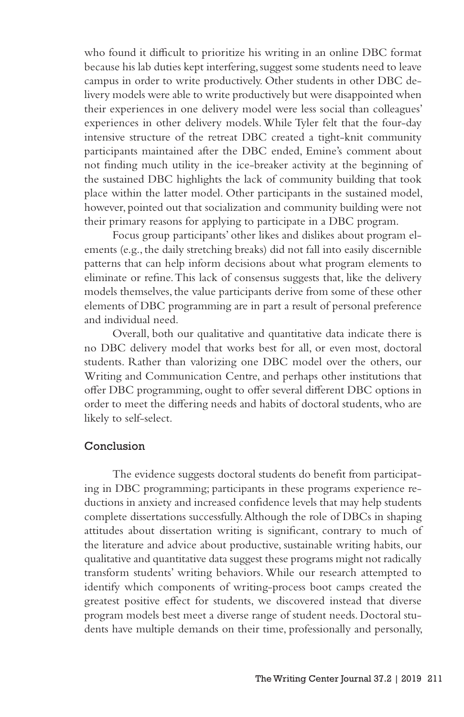who found it difficult to prioritize his writing in an online DBC format because his lab duties kept interfering, suggest some students need to leave campus in order to write productively. Other students in other DBC delivery models were able to write productively but were disappointed when their experiences in one delivery model were less social than colleagues' experiences in other delivery models. While Tyler felt that the four-day intensive structure of the retreat DBC created a tight-knit community participants maintained after the DBC ended, Emine's comment about not finding much utility in the ice-breaker activity at the beginning of the sustained DBC highlights the lack of community building that took place within the latter model. Other participants in the sustained model, however, pointed out that socialization and community building were not their primary reasons for applying to participate in a DBC program.

Focus group participants' other likes and dislikes about program elements (e.g., the daily stretching breaks) did not fall into easily discernible patterns that can help inform decisions about what program elements to eliminate or refine. This lack of consensus suggests that, like the delivery models themselves, the value participants derive from some of these other elements of DBC programming are in part a result of personal preference and individual need.

Overall, both our qualitative and quantitative data indicate there is no DBC delivery model that works best for all, or even most, doctoral students. Rather than valorizing one DBC model over the others, our Writing and Communication Centre, and perhaps other institutions that offer DBC programming, ought to offer several different DBC options in order to meet the differing needs and habits of doctoral students, who are likely to self-select.

## Conclusion

The evidence suggests doctoral students do benefit from participating in DBC programming; participants in these programs experience reductions in anxiety and increased confidence levels that may help students complete dissertations successfully. Although the role of DBCs in shaping attitudes about dissertation writing is significant, contrary to much of the literature and advice about productive, sustainable writing habits, our qualitative and quantitative data suggest these programs might not radically transform students' writing behaviors. While our research attempted to identify which components of writing-process boot camps created the greatest positive effect for students, we discovered instead that diverse program models best meet a diverse range of student needs. Doctoral students have multiple demands on their time, professionally and personally,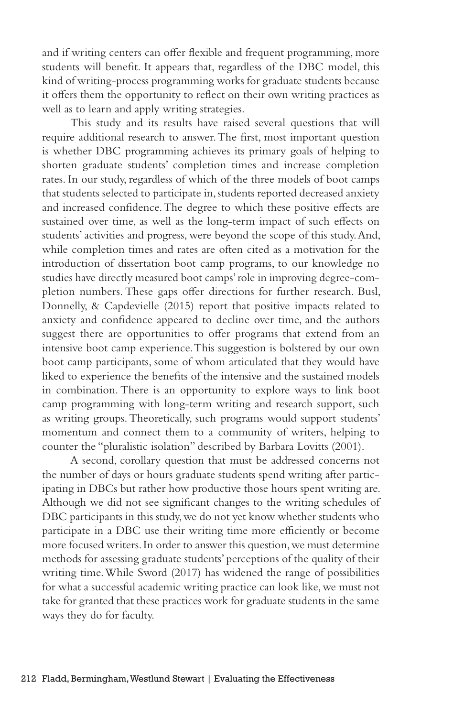and if writing centers can offer flexible and frequent programming, more students will benefit. It appears that, regardless of the DBC model, this kind of writing-process programming works for graduate students because it offers them the opportunity to reflect on their own writing practices as well as to learn and apply writing strategies.

This study and its results have raised several questions that will require additional research to answer. The first, most important question is whether DBC programming achieves its primary goals of helping to shorten graduate students' completion times and increase completion rates. In our study, regardless of which of the three models of boot camps that students selected to participate in, students reported decreased anxiety and increased confidence. The degree to which these positive effects are sustained over time, as well as the long-term impact of such effects on students' activities and progress, were beyond the scope of this study. And, while completion times and rates are often cited as a motivation for the introduction of dissertation boot camp programs, to our knowledge no studies have directly measured boot camps' role in improving degree-completion numbers. These gaps offer directions for further research. Busl, Donnelly, & Capdevielle (2015) report that positive impacts related to anxiety and confidence appeared to decline over time, and the authors suggest there are opportunities to offer programs that extend from an intensive boot camp experience. This suggestion is bolstered by our own boot camp participants, some of whom articulated that they would have liked to experience the benefits of the intensive and the sustained models in combination. There is an opportunity to explore ways to link boot camp programming with long-term writing and research support, such as writing groups. Theoretically, such programs would support students' momentum and connect them to a community of writers, helping to counter the "pluralistic isolation" described by Barbara Lovitts (2001).

A second, corollary question that must be addressed concerns not the number of days or hours graduate students spend writing after participating in DBCs but rather how productive those hours spent writing are. Although we did not see significant changes to the writing schedules of DBC participants in this study, we do not yet know whether students who participate in a DBC use their writing time more efficiently or become more focused writers. In order to answer this question, we must determine methods for assessing graduate students' perceptions of the quality of their writing time. While Sword (2017) has widened the range of possibilities for what a successful academic writing practice can look like, we must not take for granted that these practices work for graduate students in the same ways they do for faculty.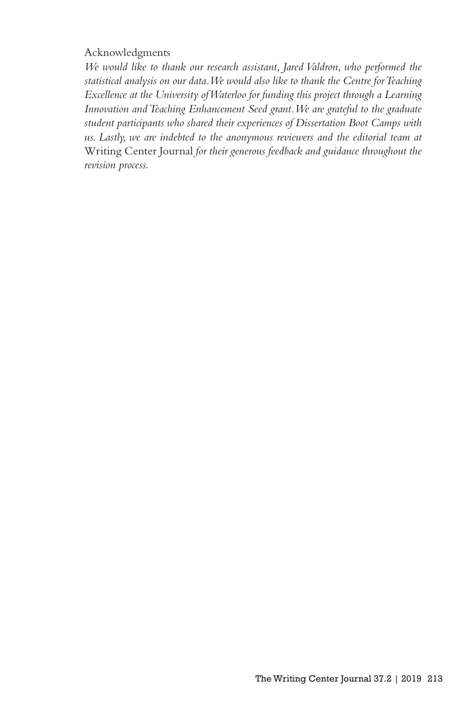#### Acknowledgments

*We would like to thank our research assistant, Jared Valdron, who performed the statistical analysis on our data. We would also like to thank the Centre for Teaching Excellence at the University of Waterloo for funding this project through a Learning Innovation and Teaching Enhancement Seed grant. We are grateful to the graduate student participants who shared their experiences of Dissertation Boot Camps with*  us. Lastly, we are indebted to the anonymous reviewers and the editorial team at Writing Center Journal *for their generous feedback and guidance throughout the revision process.*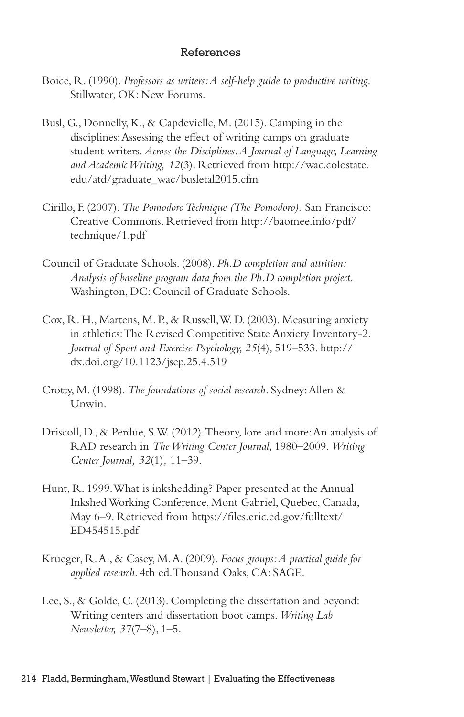#### References

- Boice, R. (1990). *Professors as writers: A self-help guide to productive writing*. Stillwater, OK: New Forums.
- Busl, G., Donnelly, K., & Capdevielle, M. (2015). Camping in the disciplines: Assessing the effect of writing camps on graduate student writers. *Across the Disciplines: A Journal of Language, Learning and Academic Writing, 12*(3). Retrieved from http://wac.colostate. edu/atd/graduate\_wac/busletal2015.cfm
- Cirillo, F. (2007). *The Pomodoro Technique (The Pomodoro).* San Francisco: Creative Commons. Retrieved from http://baomee.info/pdf/ technique/1.pdf
- Council of Graduate Schools. (2008). *Ph.D completion and attrition: Analysis of baseline program data from the Ph.D completion project*. Washington, DC: Council of Graduate Schools.
- Cox, R. H., Martens, M. P., & Russell, W. D. (2003). Measuring anxiety in athletics: The Revised Competitive State Anxiety Inventory-2. *Journal of Sport and Exercise Psychology, 25*(4)*,* 519–533. http:// dx.doi.org/10.1123/jsep.25.4.519
- Crotty, M. (1998). *The foundations of social research*. Sydney: Allen & Unwin.
- Driscoll, D., & Perdue, S.W. (2012). Theory, lore and more: An analysis of RAD research in *The Writing Center Journal,* 1980–2009. *Writing Center Journal, 32*(1)*,* 11–39.
- Hunt, R. 1999. What is inkshedding? Paper presented at the Annual Inkshed Working Conference, Mont Gabriel, Quebec, Canada, May 6–9. Retrieved from https://files.eric.ed.gov/fulltext/ ED454515.pdf
- Krueger, R. A., & Casey, M. A. (2009). *Focus groups: A practical guide for applied research*. 4th ed. Thousand Oaks, CA: SAGE.
- Lee, S., & Golde, C. (2013). Completing the dissertation and beyond: Writing centers and dissertation boot camps. *Writing Lab Newsletter, 37*(7–8), 1–5.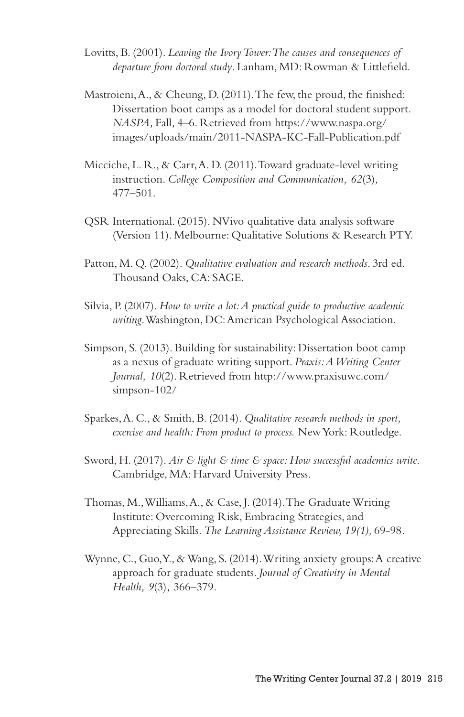- Lovitts, B. (2001). *Leaving the Ivory Tower: The causes and consequences of departure from doctoral study*. Lanham, MD: Rowman & Littlefield.
- Mastroieni, A., & Cheung, D. (2011). The few, the proud, the finished: Dissertation boot camps as a model for doctoral student support. *NASPA,* Fall*,* 4–6. Retrieved from https://www.naspa.org/ images/uploads/main/2011-NASPA-KC-Fall-Publication.pdf
- Micciche, L. R., & Carr, A. D. (2011). Toward graduate-level writing instruction. *College Composition and Communication, 62*(3)*,*  477–501.
- QSR International. (2015). NVivo qualitative data analysis software (Version 11). Melbourne: Qualitative Solutions & Research PTY.
- Patton, M. Q. (2002). *Qualitative evaluation and research methods*. 3rd ed. Thousand Oaks, CA: SAGE.
- Silvia, P. (2007). *How to write a lot: A practical guide to productive academic writing*. Washington, DC: American Psychological Association.
- Simpson, S. (2013). Building for sustainability: Dissertation boot camp as a nexus of graduate writing support. *Praxis: A Writing Center Journal, 10*(2). Retrieved from http://www.praxisuwc.com/ simpson-102/
- Sparkes, A. C., & Smith, B. (2014). *Qualitative research methods in sport, exercise and health: From product to process.* New York: Routledge.
- Sword, H. (2017). *Air & light & time & space: How successful academics write*. Cambridge, MA: Harvard University Press.
- Thomas, M., Williams, A., & Case, J. (2014). The Graduate Writing Institute: Overcoming Risk, Embracing Strategies, and Appreciating Skills. *The Learning Assistance Review, 19(1),* 69-98*.*
- Wynne, C., Guo, Y., & Wang, S. (2014). Writing anxiety groups: A creative approach for graduate students. *Journal of Creativity in Mental Health, 9*(3)*,* 366–379.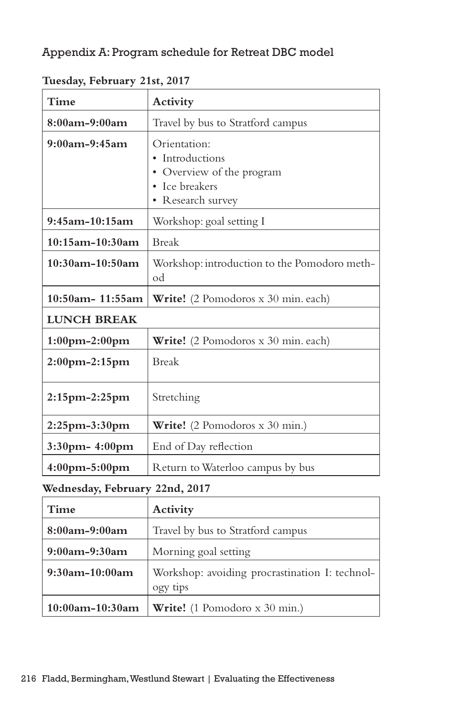# Appendix A: Program schedule for Retreat DBC model

| Time                  | Activity                                                                                            |
|-----------------------|-----------------------------------------------------------------------------------------------------|
| $8:00$ am-9:00am      | Travel by bus to Stratford campus                                                                   |
| $9:00$ am- $9:45$ am  | Orientation:<br>• Introductions<br>• Overview of the program<br>• Ice breakers<br>• Research survey |
| $9:45$ am-10:15am     | Workshop: goal setting I                                                                            |
| 10:15am-10:30am       | <b>Break</b>                                                                                        |
| $10:30$ am-10:50am    | Workshop: introduction to the Pomodoro meth-<br>od                                                  |
| 10:50am-11:55am       | <b>Write!</b> (2 Pomodoros x 30 min. each)                                                          |
| <b>LUNCH BREAK</b>    |                                                                                                     |
| $1:00$ pm $-2:00$ pm  | <b>Write!</b> (2 Pomodoros x 30 min. each)                                                          |
| $2:00$ pm $-2:15$ pm  | <b>Break</b>                                                                                        |
| $2:15$ pm $-2:25$ pm  | Stretching                                                                                          |
| $2:25$ pm $-3:30$ pm  | Write! (2 Pomodoros x 30 min.)                                                                      |
| $3:30$ pm – $4:00$ pm | End of Day reflection                                                                               |
| $4:00$ pm $-5:00$ pm  | Return to Waterloo campus by bus                                                                    |

**Tuesday, February 21st, 2017**

**Wednesday, February 22nd, 2017**

| Time                 | Activity                                                   |
|----------------------|------------------------------------------------------------|
| $8:00$ am-9:00am     | Travel by bus to Stratford campus                          |
| $9:00$ am- $9:30$ am | Morning goal setting                                       |
| $9:30$ am-10:00am    | Workshop: avoiding procrastination I: technol-<br>ogy tips |
| $10:00$ am-10:30am   | Write! (1 Pomodoro x 30 min.)                              |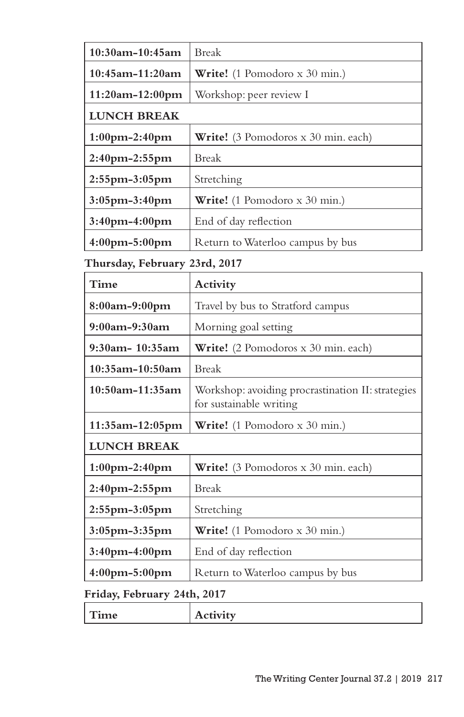| 10:30am-10:45am               | <b>Break</b>                                                                 |  |
|-------------------------------|------------------------------------------------------------------------------|--|
| 10:45am-11:20am               | Write! (1 Pomodoro x 30 min.)                                                |  |
| 11:20am-12:00pm               | Workshop: peer review I                                                      |  |
| <b>LUNCH BREAK</b>            |                                                                              |  |
| 1:00pm-2:40pm                 | Write! (3 Pomodoros x 30 min. each)                                          |  |
| 2:40pm-2:55pm                 | Break                                                                        |  |
| 2:55pm-3:05pm                 | Stretching                                                                   |  |
| 3:05pm-3:40pm                 | Write! (1 Pomodoro x 30 min.)                                                |  |
| 3:40pm-4:00pm                 | End of day reflection                                                        |  |
| 4:00pm-5:00pm                 | Return to Waterloo campus by bus                                             |  |
| Thursday, February 23rd, 2017 |                                                                              |  |
| Time                          | Activity                                                                     |  |
| 8:00am-9:00pm                 | Travel by bus to Stratford campus                                            |  |
| $9:00$ am- $9:30$ am          | Morning goal setting                                                         |  |
| 9:30am- 10:35am               | Write! (2 Pomodoros x 30 min. each)                                          |  |
| $10:35$ am-10:50am            | <b>Break</b>                                                                 |  |
| 10:50am-11:35am               | Workshop: avoiding procrastination II: strategies<br>for sustainable writing |  |
| 11:35am-12:05pm               | Write! (1 Pomodoro x 30 min.)                                                |  |
| <b>LUNCH BREAK</b>            |                                                                              |  |
| 1:00pm-2:40pm                 | Write! (3 Pomodoros x 30 min. each)                                          |  |
| 2:40pm-2:55pm                 | <b>Break</b>                                                                 |  |
| 2:55pm-3:05pm                 | Stretching                                                                   |  |
| 3:05pm-3:35pm                 | Write! (1 Pomodoro x 30 min.)                                                |  |
| 3:40pm-4:00pm                 | End of day reflection                                                        |  |
| 4:00pm-5:00pm                 | Return to Waterloo campus by bus                                             |  |
| Friday, February 24th, 2017   |                                                                              |  |

| --           | . .                       |
|--------------|---------------------------|
| <b>THILE</b> | $\mathbf{r}$<br>$\lambda$ |
|              |                           |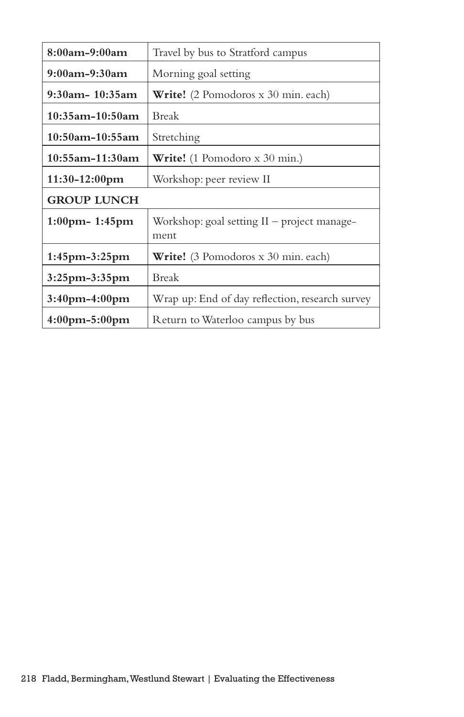| 8:00am-9:00am                     | Travel by bus to Stratford campus                   |
|-----------------------------------|-----------------------------------------------------|
| $9:00$ am- $9:30$ am              | Morning goal setting                                |
| $9:30$ am - 10:35am               | <b>Write!</b> (2 Pomodoros x 30 min. each)          |
| $10:35$ am-1 $0:50$ am            | Break                                               |
| $10:50$ am-10:55am                | Stretching                                          |
| $10:55$ am-11:30am                | <b>Write!</b> (1 Pomodoro x 30 min.)                |
| $11:30-12:00 \text{pm}$           | Workshop: peer review II                            |
| <b>GROUP LUNCH</b>                |                                                     |
| $1:00$ pm - 1:45 pm               | Workshop: goal setting II – project manage-<br>ment |
| $1:45$ pm- $3:25$ pm              | <b>Write!</b> (3 Pomodoros x 30 min. each)          |
| $3:25$ pm $-3:35$ pm              | Break                                               |
| $3:40$ pm-4:00pm                  | Wrap up: End of day reflection, research survey     |
| $4:00 \text{pm} - 5:00 \text{pm}$ | Return to Waterloo campus by bus                    |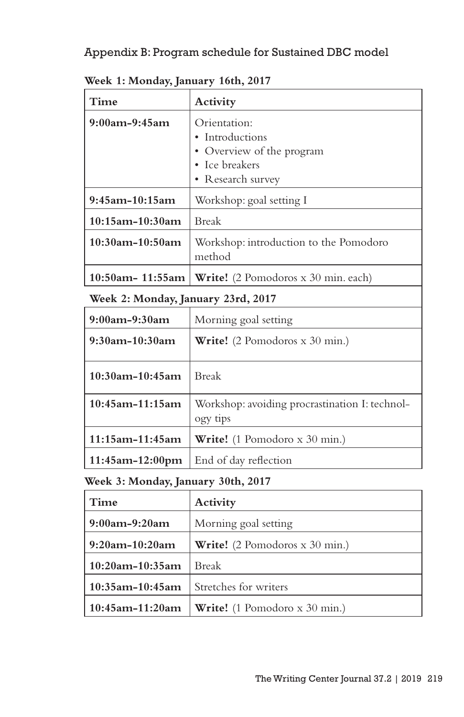# Appendix B: Program schedule for Sustained DBC model

| Time                   | Activity                                         |
|------------------------|--------------------------------------------------|
| $9:00$ am- $9:45$ am   | Orientation:                                     |
|                        | • Introductions                                  |
|                        | • Overview of the program                        |
|                        | • Ice breakers                                   |
|                        | • Research survey                                |
| $9:45$ am-10:15am      | Workshop: goal setting I                         |
| $10:15$ am- $10:30$ am | <b>Break</b>                                     |
| $10:30$ am-10:50am     | Workshop: introduction to the Pomodoro<br>method |
| $10:50$ am- 11:55am    | <b>Write!</b> (2 Pomodoros x 30 min. each)       |

**Week 1: Monday, January 16th, 2017**

**Week 2: Monday, January 23rd, 2017**

| $9:00$ am- $9:30$ am   | Morning goal setting                                       |
|------------------------|------------------------------------------------------------|
| $9:30$ am-10:30am      | <b>Write!</b> (2 Pomodoros x 30 min.)                      |
| $10:30$ am-10:45am     | <b>Break</b>                                               |
| $10:45$ am-11:15am     | Workshop: avoiding procrastination I: technol-<br>ogy tips |
| $11:15$ am-11:45am     | <b>Write!</b> (1 Pomodoro x 30 min.)                       |
| $11:45$ am- $12:00$ pm | End of day reflection                                      |

# **Week 3: Monday, January 30th, 2017**

| Time                 | Activity                             |
|----------------------|--------------------------------------|
| $9:00$ am- $9:20$ am | Morning goal setting                 |
| $9:20$ am-10:20am    | Write! (2 Pomodoros x 30 min.)       |
| $10:20$ am-10:35am   | <b>Break</b>                         |
| $10:35$ am-10:45am   | Stretches for writers                |
| $10:45$ am-11:20am   | <b>Write!</b> (1 Pomodoro x 30 min.) |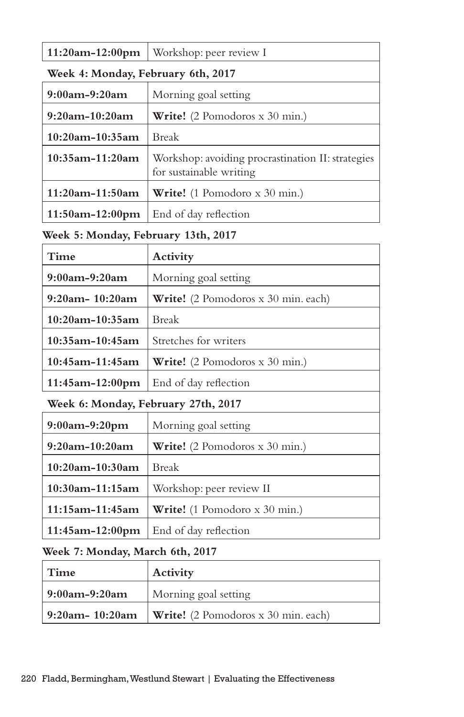| $11:20am-12:00pm$                  | Workshop: peer review I                                                      |  |
|------------------------------------|------------------------------------------------------------------------------|--|
| Week 4: Monday, February 6th, 2017 |                                                                              |  |
| $9:00$ am- $9:20$ am               | Morning goal setting                                                         |  |
| $9:20$ am-10:20am                  | <b>Write!</b> (2 Pomodoros $x$ 30 min.)                                      |  |
| $10:20$ am-10:35am                 | <b>Break</b>                                                                 |  |
| $10:35$ am-11:20am                 | Workshop: avoiding procrastination II: strategies<br>for sustainable writing |  |
| $11:20$ am-11:50am                 | <b>Write!</b> (1 Pomodoro x 30 min.)                                         |  |
| $11:50$ am- $12:00$ pm             | End of day reflection                                                        |  |

# **Week 5: Monday, February 13th, 2017**

| Time                                | Activity                              |  |
|-------------------------------------|---------------------------------------|--|
| $9:00$ am- $9:20$ am                | Morning goal setting                  |  |
| $9:20$ am - $10:20$ am              | Write! (2 Pomodoros x 30 min. each)   |  |
| $10:20$ am-10:35am                  | <b>Break</b>                          |  |
| $10:35$ am-10:45am                  | Stretches for writers                 |  |
| $10:45$ am-11:45am                  | <b>Write!</b> (2 Pomodoros x 30 min.) |  |
| $11:45$ am-12:00pm                  | End of day reflection                 |  |
| Week 6: Monday, February 27th, 2017 |                                       |  |
| $9:00$ am- $9:20$ pm                | Morning goal setting                  |  |
| $9:20$ am-10:20am                   | Write! (2 Pomodoros x 30 min.)        |  |
| $10.20$ am-10.30am                  | $R$ reak                              |  |

| $\vert$ 10:20am-10:30am $\vert$ Break |                                                 |
|---------------------------------------|-------------------------------------------------|
|                                       | 10:30am-11:15am   Workshop: peer review II      |
|                                       | 11:15am-11:45am   Write! (1 Pomodoro x 30 min.) |
|                                       | 11:45am-12:00pm End of day reflection           |

# **Week 7: Monday, March 6th, 2017**

| Time               | Activity                                   |  |
|--------------------|--------------------------------------------|--|
| 9:00am-9:20am      | Morning goal setting                       |  |
| $9:20$ am- 10:20am | <b>Write!</b> (2 Pomodoros x 30 min. each) |  |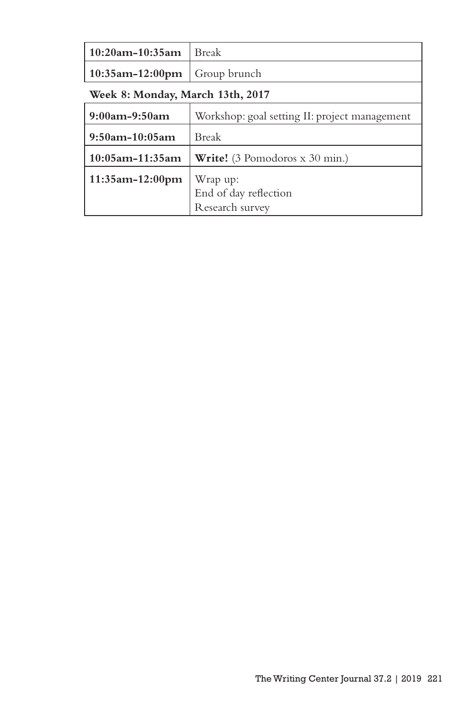| $10:20$ am-10:35am               | <b>Break</b>                                  |  |
|----------------------------------|-----------------------------------------------|--|
| $10:35$ am-12:00pm               | Group brunch                                  |  |
| Week 8: Monday, March 13th, 2017 |                                               |  |
| $9:00$ am- $9:50$ am             | Workshop: goal setting II: project management |  |
| $9:50$ am-10:05am                | <b>Break</b>                                  |  |
| $10:05$ am-11:35am               | <b>Write!</b> (3 Pomodoros x 30 min.)         |  |
| $11:35$ am-12:00pm               | Wrap up:                                      |  |
|                                  | End of day reflection                         |  |
|                                  | Research survey                               |  |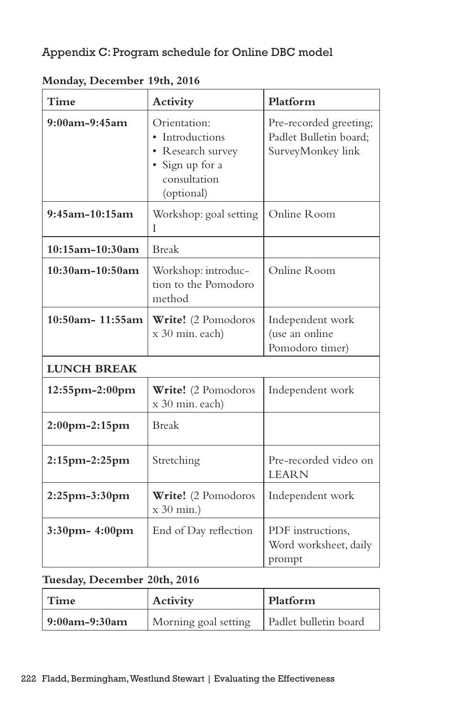# Appendix C: Program schedule for Online DBC model

| Time                 | Activity                                                                                              | Platform                                                              |
|----------------------|-------------------------------------------------------------------------------------------------------|-----------------------------------------------------------------------|
| $9:00$ am- $9:45$ am | Orientation:<br>• Introductions<br>• Research survey<br>· Sign up for a<br>consultation<br>(optional) | Pre-recorded greeting;<br>Padlet Bulletin board;<br>SurveyMonkey link |
| $9:45$ am-10:15am    | Workshop: goal setting<br>L                                                                           | Online Room                                                           |
| $10:15$ am-10:30am   | <b>Break</b>                                                                                          |                                                                       |
| $10:30$ am-10:50am   | Workshop: introduc-<br>tion to the Pomodoro<br>method                                                 | Online Room                                                           |
| 10:50am- 11:55am     | Write! (2 Pomodoros<br>x 30 min. each)                                                                | Independent work<br>(use an online<br>Pomodoro timer)                 |
| <b>LUNCH BREAK</b>   |                                                                                                       |                                                                       |
| $12:55$ pm-2:00pm    | Write! (2 Pomodoros<br>x 30 min. each)                                                                | Independent work                                                      |
| 2:00pm-2:15pm        | <b>Break</b>                                                                                          |                                                                       |
| 2:15pm-2:25pm        | Stretching                                                                                            | Pre-recorded video on<br><b>LEARN</b>                                 |
| 2:25pm-3:30pm        | Write! (2 Pomodoros<br>$x 30$ min.)                                                                   | Independent work                                                      |
| 3:30pm- 4:00pm       | End of Day reflection                                                                                 | PDF instructions,<br>Word worksheet, daily<br>prompt                  |

**Monday, December 19th, 2016**

# **Tuesday, December 20th, 2016**

| ' Time          | Activity             | Platform              |
|-----------------|----------------------|-----------------------|
| $9:00am-9:30am$ | Morning goal setting | Padlet bulletin board |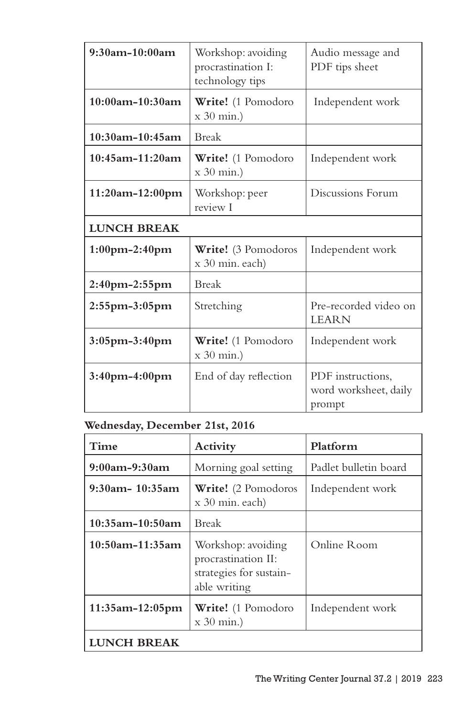| $9:30$ am-10:00am    | Workshop: avoiding<br>procrastination I:<br>technology tips | Audio message and<br>PDF tips sheet                  |  |
|----------------------|-------------------------------------------------------------|------------------------------------------------------|--|
| $10:00$ am-10:30am   | Write! (1 Pomodoro<br>$x 30$ min.)                          | Independent work                                     |  |
| 10:30am-10:45am      | <b>Break</b>                                                |                                                      |  |
| $10:45$ am-11:20am   | Write! (1 Pomodoro<br>$x 30$ min.)                          | Independent work                                     |  |
| $11:20am-12:00pm$    | Workshop: peer<br>review I                                  | Discussions Forum                                    |  |
| <b>LUNCH BREAK</b>   |                                                             |                                                      |  |
| $1:00$ pm $-2:40$ pm | Write! (3 Pomodoros<br>x 30 min. each)                      | Independent work                                     |  |
| $2:40$ pm $-2:55$ pm | <b>Break</b>                                                |                                                      |  |
| $2:55$ pm $-3:05$ pm | Stretching                                                  | Pre-recorded video on<br><b>LEARN</b>                |  |
| 3:05pm-3:40pm        | Write! (1 Pomodoro<br>$x 30$ min.)                          | Independent work                                     |  |
| $3:40$ pm-4:00pm     | End of day reflection                                       | PDF instructions.<br>word worksheet, daily<br>prompt |  |

# **Wednesday, December 21st, 2016**

| Time                 | Activity                                                                             | Platform              |
|----------------------|--------------------------------------------------------------------------------------|-----------------------|
| $9:00$ am- $9:30$ am | Morning goal setting                                                                 | Padlet bulletin board |
| $9:30$ am - 10:35am  | <b>Write!</b> (2 Pomodoros<br>$x 30$ min. each)                                      | Independent work      |
| 10:35am-10:50am      | Break                                                                                |                       |
| $10:50$ am-11:35am   | Workshop: avoiding<br>procrastination II:<br>strategies for sustain-<br>able writing | Online Room           |
| $11:35$ am-12:05pm   | <b>Write!</b> (1 Pomodoro<br>$x 30$ min.)                                            | Independent work      |
| LUNCH BREAK          |                                                                                      |                       |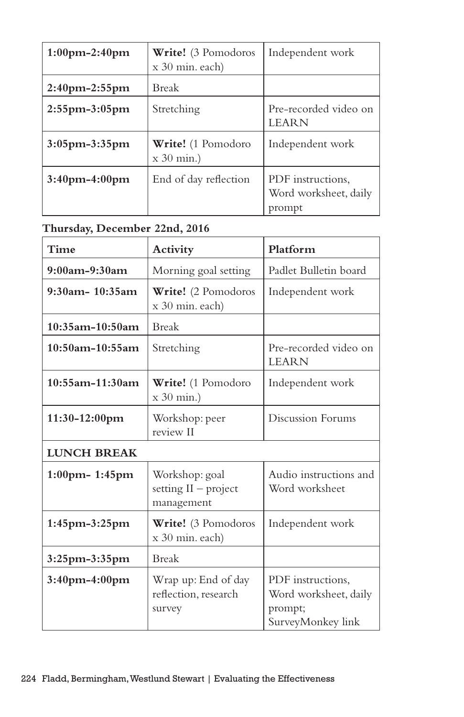| $1:00$ pm $-2:40$ pm | <b>Write!</b> (3 Pomodoros<br>x 30 min. each) | Independent work                                     |
|----------------------|-----------------------------------------------|------------------------------------------------------|
| $2:40$ pm- $2:55$ pm | <b>Break</b>                                  |                                                      |
| $2:55$ pm- $3:05$ pm | Stretching                                    | Pre-recorded video on<br><b>LEARN</b>                |
| $3:05$ pm- $3:35$ pm | <b>Write!</b> (1 Pomodoro<br>$x 30$ min.)     | Independent work                                     |
| $3:40$ pm $-4:00$ pm | End of day reflection                         | PDF instructions,<br>Word worksheet, daily<br>prompt |

# **Thursday, December 22nd, 2016**

| <b>Time</b>          | Activity                                               | Platform                                                                   |
|----------------------|--------------------------------------------------------|----------------------------------------------------------------------------|
| $9:00$ am- $9:30$ am | Morning goal setting                                   | Padlet Bulletin board                                                      |
| $9:30$ am - 10:35am  | Write! (2 Pomodoros<br>x 30 min. each)                 | Independent work                                                           |
| $10:35$ am-10:50am   | <b>Break</b>                                           |                                                                            |
| $10:50$ am-10:55am   | Stretching                                             | Pre-recorded video on<br><b>LEARN</b>                                      |
| $10:55$ am-11:30am   | Write! (1 Pomodoro<br>$x$ 30 min.)                     | Independent work                                                           |
| $11:30-12:00$ pm     | Workshop: peer<br>review II                            | Discussion Forums                                                          |
| <b>LUNCH BREAK</b>   |                                                        |                                                                            |
| $1:00$ pm - 1:45 pm  | Workshop: goal<br>setting $II$ – project<br>management | Audio instructions and<br>Word worksheet                                   |
| $1:45$ pm- $3:25$ pm | Write! (3 Pomodoros<br>x 30 min. each)                 | Independent work                                                           |
| $3:25$ pm- $3:35$ pm | <b>Break</b>                                           |                                                                            |
| 3:40pm-4:00pm        | Wrap up: End of day<br>reflection, research<br>survey  | PDF instructions.<br>Word worksheet, daily<br>prompt;<br>SurveyMonkey link |